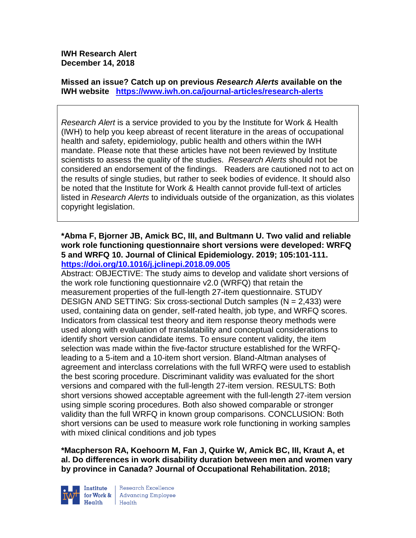**IWH Research Alert December 14, 2018**

**Missed an issue? Catch up on previous** *Research Alerts* **available on the [IWH website](http://www.iwh.on.ca/research-alerts) <https://www.iwh.on.ca/journal-articles/research-alerts>**

*Research Alert* is a service provided to you by the Institute for Work & Health (IWH) to help you keep abreast of recent literature in the areas of occupational health and safety, epidemiology, public health and others within the IWH mandate. Please note that these articles have not been reviewed by Institute scientists to assess the quality of the studies. *Research Alerts* should not be considered an endorsement of the findings. Readers are cautioned not to act on the results of single studies, but rather to seek bodies of evidence. It should also be noted that the Institute for Work & Health cannot provide full-text of articles listed in *Research Alerts* to individuals outside of the organization, as this violates copyright legislation.

**\*Abma F, Bjorner JB, Amick BC, III, and Bultmann U. Two valid and reliable work role functioning questionnaire short versions were developed: WRFQ 5 and WRFQ 10. Journal of Clinical Epidemiology. 2019; 105:101-111. <https://doi.org/10.1016/j.jclinepi.2018.09.005>** 

Abstract: OBJECTIVE: The study aims to develop and validate short versions of the work role functioning questionnaire v2.0 (WRFQ) that retain the measurement properties of the full-length 27-item questionnaire. STUDY DESIGN AND SETTING: Six cross-sectional Dutch samples (N = 2,433) were used, containing data on gender, self-rated health, job type, and WRFQ scores. Indicators from classical test theory and item response theory methods were used along with evaluation of translatability and conceptual considerations to identify short version candidate items. To ensure content validity, the item selection was made within the five-factor structure established for the WRFQleading to a 5-item and a 10-item short version. Bland-Altman analyses of agreement and interclass correlations with the full WRFQ were used to establish the best scoring procedure. Discriminant validity was evaluated for the short versions and compared with the full-length 27-item version. RESULTS: Both short versions showed acceptable agreement with the full-length 27-item version using simple scoring procedures. Both also showed comparable or stronger validity than the full WRFQ in known group comparisons. CONCLUSION: Both short versions can be used to measure work role functioning in working samples with mixed clinical conditions and job types

**\*Macpherson RA, Koehoorn M, Fan J, Quirke W, Amick BC, III, Kraut A, et al. Do differences in work disability duration between men and women vary by province in Canada? Journal of Occupational Rehabilitation. 2018;** 

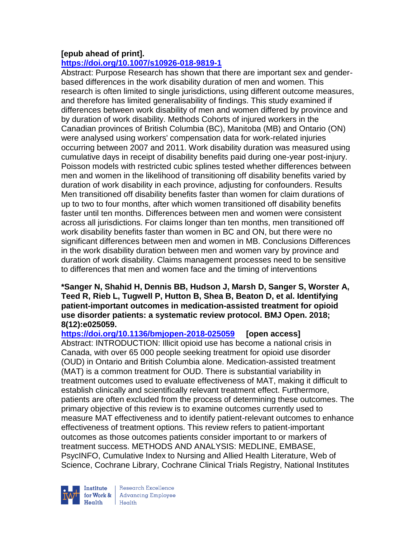# **[epub ahead of print].**

# **<https://doi.org/10.1007/s10926-018-9819-1>**

Abstract: Purpose Research has shown that there are important sex and genderbased differences in the work disability duration of men and women. This research is often limited to single jurisdictions, using different outcome measures, and therefore has limited generalisability of findings. This study examined if differences between work disability of men and women differed by province and by duration of work disability. Methods Cohorts of injured workers in the Canadian provinces of British Columbia (BC), Manitoba (MB) and Ontario (ON) were analysed using workers' compensation data for work-related injuries occurring between 2007 and 2011. Work disability duration was measured using cumulative days in receipt of disability benefits paid during one-year post-injury. Poisson models with restricted cubic splines tested whether differences between men and women in the likelihood of transitioning off disability benefits varied by duration of work disability in each province, adjusting for confounders. Results Men transitioned off disability benefits faster than women for claim durations of up to two to four months, after which women transitioned off disability benefits faster until ten months. Differences between men and women were consistent across all jurisdictions. For claims longer than ten months, men transitioned off work disability benefits faster than women in BC and ON, but there were no significant differences between men and women in MB. Conclusions Differences in the work disability duration between men and women vary by province and duration of work disability. Claims management processes need to be sensitive to differences that men and women face and the timing of interventions

#### **\*Sanger N, Shahid H, Dennis BB, Hudson J, Marsh D, Sanger S, Worster A, Teed R, Rieb L, Tugwell P, Hutton B, Shea B, Beaton D, et al. Identifying patient-important outcomes in medication-assisted treatment for opioid use disorder patients: a systematic review protocol. BMJ Open. 2018; 8(12):e025059.**

## **<https://doi.org/10.1136/bmjopen-2018-025059> [open access]**

Abstract: INTRODUCTION: Illicit opioid use has become a national crisis in Canada, with over 65 000 people seeking treatment for opioid use disorder (OUD) in Ontario and British Columbia alone. Medication-assisted treatment (MAT) is a common treatment for OUD. There is substantial variability in treatment outcomes used to evaluate effectiveness of MAT, making it difficult to establish clinically and scientifically relevant treatment effect. Furthermore, patients are often excluded from the process of determining these outcomes. The primary objective of this review is to examine outcomes currently used to measure MAT effectiveness and to identify patient-relevant outcomes to enhance effectiveness of treatment options. This review refers to patient-important outcomes as those outcomes patients consider important to or markers of treatment success. METHODS AND ANALYSIS: MEDLINE, EMBASE, PsycINFO, Cumulative Index to Nursing and Allied Health Literature, Web of Science, Cochrane Library, Cochrane Clinical Trials Registry, National Institutes

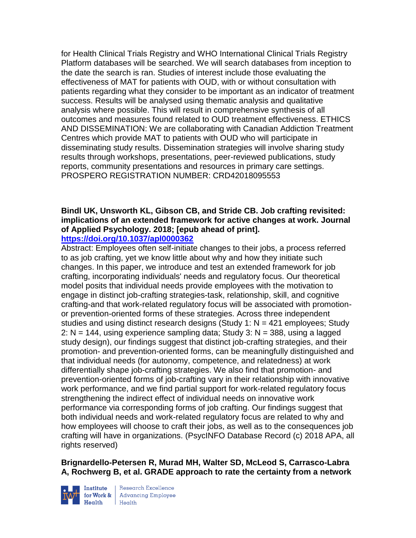for Health Clinical Trials Registry and WHO International Clinical Trials Registry Platform databases will be searched. We will search databases from inception to the date the search is ran. Studies of interest include those evaluating the effectiveness of MAT for patients with OUD, with or without consultation with patients regarding what they consider to be important as an indicator of treatment success. Results will be analysed using thematic analysis and qualitative analysis where possible. This will result in comprehensive synthesis of all outcomes and measures found related to OUD treatment effectiveness. ETHICS AND DISSEMINATION: We are collaborating with Canadian Addiction Treatment Centres which provide MAT to patients with OUD who will participate in disseminating study results. Dissemination strategies will involve sharing study results through workshops, presentations, peer-reviewed publications, study reports, community presentations and resources in primary care settings. PROSPERO REGISTRATION NUMBER: CRD42018095553

#### **Bindl UK, Unsworth KL, Gibson CB, and Stride CB. Job crafting revisited: implications of an extended framework for active changes at work. Journal of Applied Psychology. 2018; [epub ahead of print]. <https://doi.org/10.1037/apl0000362>**

Abstract: Employees often self-initiate changes to their jobs, a process referred to as job crafting, yet we know little about why and how they initiate such changes. In this paper, we introduce and test an extended framework for job crafting, incorporating individuals' needs and regulatory focus. Our theoretical model posits that individual needs provide employees with the motivation to engage in distinct job-crafting strategies-task, relationship, skill, and cognitive crafting-and that work-related regulatory focus will be associated with promotionor prevention-oriented forms of these strategies. Across three independent studies and using distinct research designs (Study 1:  $N = 421$  employees; Study 2:  $N = 144$ , using experience sampling data; Study 3:  $N = 388$ , using a lagged study design), our findings suggest that distinct job-crafting strategies, and their promotion- and prevention-oriented forms, can be meaningfully distinguished and that individual needs (for autonomy, competence, and relatedness) at work differentially shape job-crafting strategies. We also find that promotion- and prevention-oriented forms of job-crafting vary in their relationship with innovative work performance, and we find partial support for work-related regulatory focus strengthening the indirect effect of individual needs on innovative work performance via corresponding forms of job crafting. Our findings suggest that both individual needs and work-related regulatory focus are related to why and how employees will choose to craft their jobs, as well as to the consequences job crafting will have in organizations. (PsycINFO Database Record (c) 2018 APA, all rights reserved)

**Brignardello-Petersen R, Murad MH, Walter SD, McLeod S, Carrasco-Labra A, Rochwerg B, et al. GRADE approach to rate the certainty from a network** 



Institute Research Excellence<br>for Work & Advancing Employee<br>Health Health  $H$ ealth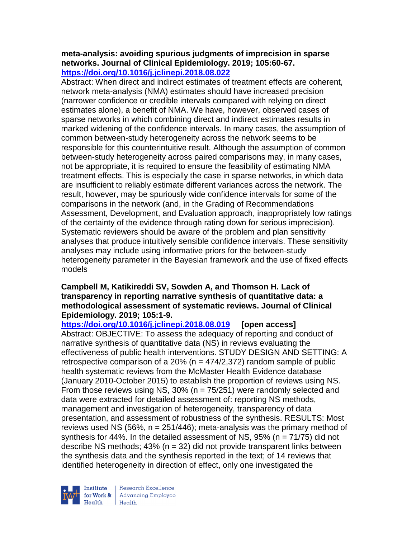#### **meta-analysis: avoiding spurious judgments of imprecision in sparse networks. Journal of Clinical Epidemiology. 2019; 105:60-67. <https://doi.org/10.1016/j.jclinepi.2018.08.022>**

Abstract: When direct and indirect estimates of treatment effects are coherent, network meta-analysis (NMA) estimates should have increased precision (narrower confidence or credible intervals compared with relying on direct estimates alone), a benefit of NMA. We have, however, observed cases of sparse networks in which combining direct and indirect estimates results in marked widening of the confidence intervals. In many cases, the assumption of common between-study heterogeneity across the network seems to be responsible for this counterintuitive result. Although the assumption of common between-study heterogeneity across paired comparisons may, in many cases, not be appropriate, it is required to ensure the feasibility of estimating NMA treatment effects. This is especially the case in sparse networks, in which data are insufficient to reliably estimate different variances across the network. The result, however, may be spuriously wide confidence intervals for some of the comparisons in the network (and, in the Grading of Recommendations Assessment, Development, and Evaluation approach, inappropriately low ratings of the certainty of the evidence through rating down for serious imprecision). Systematic reviewers should be aware of the problem and plan sensitivity analyses that produce intuitively sensible confidence intervals. These sensitivity analyses may include using informative priors for the between-study heterogeneity parameter in the Bayesian framework and the use of fixed effects models

### **Campbell M, Katikireddi SV, Sowden A, and Thomson H. Lack of transparency in reporting narrative synthesis of quantitative data: a methodological assessment of systematic reviews. Journal of Clinical Epidemiology. 2019; 105:1-9.**

**<https://doi.org/10.1016/j.jclinepi.2018.08.019> [open access]** Abstract: OBJECTIVE: To assess the adequacy of reporting and conduct of narrative synthesis of quantitative data (NS) in reviews evaluating the effectiveness of public health interventions. STUDY DESIGN AND SETTING: A retrospective comparison of a 20% ( $n = 474/2,372$ ) random sample of public health systematic reviews from the McMaster Health Evidence database (January 2010-October 2015) to establish the proportion of reviews using NS. From those reviews using NS,  $30\%$  (n =  $75/251$ ) were randomly selected and data were extracted for detailed assessment of: reporting NS methods, management and investigation of heterogeneity, transparency of data presentation, and assessment of robustness of the synthesis. RESULTS: Most reviews used NS (56%,  $n = 251/446$ ); meta-analysis was the primary method of synthesis for 44%. In the detailed assessment of NS,  $95\%$  (n =  $71/75$ ) did not describe NS methods; 43% (n = 32) did not provide transparent links between the synthesis data and the synthesis reported in the text; of 14 reviews that identified heterogeneity in direction of effect, only one investigated the

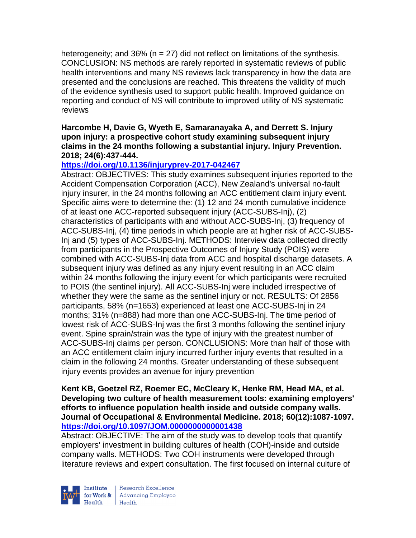heterogeneity; and 36% ( $n = 27$ ) did not reflect on limitations of the synthesis. CONCLUSION: NS methods are rarely reported in systematic reviews of public health interventions and many NS reviews lack transparency in how the data are presented and the conclusions are reached. This threatens the validity of much of the evidence synthesis used to support public health. Improved guidance on reporting and conduct of NS will contribute to improved utility of NS systematic reviews

### **Harcombe H, Davie G, Wyeth E, Samaranayaka A, and Derrett S. Injury upon injury: a prospective cohort study examining subsequent injury claims in the 24 months following a substantial injury. Injury Prevention. 2018; 24(6):437-444.**

## **<https://doi.org/10.1136/injuryprev-2017-042467>**

Abstract: OBJECTIVES: This study examines subsequent injuries reported to the Accident Compensation Corporation (ACC), New Zealand's universal no-fault injury insurer, in the 24 months following an ACC entitlement claim injury event. Specific aims were to determine the: (1) 12 and 24 month cumulative incidence of at least one ACC-reported subsequent injury (ACC-SUBS-Inj), (2) characteristics of participants with and without ACC-SUBS-Inj, (3) frequency of ACC-SUBS-Inj, (4) time periods in which people are at higher risk of ACC-SUBS-Inj and (5) types of ACC-SUBS-Inj. METHODS: Interview data collected directly from participants in the Prospective Outcomes of Injury Study (POIS) were combined with ACC-SUBS-Inj data from ACC and hospital discharge datasets. A subsequent injury was defined as any injury event resulting in an ACC claim within 24 months following the injury event for which participants were recruited to POIS (the sentinel injury). All ACC-SUBS-Inj were included irrespective of whether they were the same as the sentinel injury or not. RESULTS: Of 2856 participants, 58% (n=1653) experienced at least one ACC-SUBS-Inj in 24 months; 31% (n=888) had more than one ACC-SUBS-Inj. The time period of lowest risk of ACC-SUBS-Inj was the first 3 months following the sentinel injury event. Spine sprain/strain was the type of injury with the greatest number of ACC-SUBS-Inj claims per person. CONCLUSIONS: More than half of those with an ACC entitlement claim injury incurred further injury events that resulted in a claim in the following 24 months. Greater understanding of these subsequent injury events provides an avenue for injury prevention

### **Kent KB, Goetzel RZ, Roemer EC, McCleary K, Henke RM, Head MA, et al. Developing two culture of health measurement tools: examining employers' efforts to influence population health inside and outside company walls. Journal of Occupational & Environmental Medicine. 2018; 60(12):1087-1097. <https://doi.org/10.1097/JOM.0000000000001438>**

Abstract: OBJECTIVE: The aim of the study was to develop tools that quantify employers' investment in building cultures of health (COH)-inside and outside company walls. METHODS: Two COH instruments were developed through literature reviews and expert consultation. The first focused on internal culture of

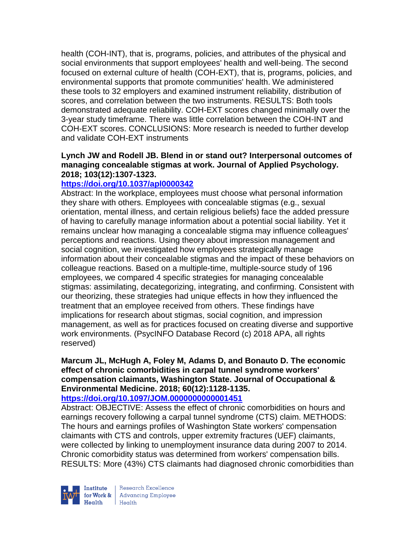health (COH-INT), that is, programs, policies, and attributes of the physical and social environments that support employees' health and well-being. The second focused on external culture of health (COH-EXT), that is, programs, policies, and environmental supports that promote communities' health. We administered these tools to 32 employers and examined instrument reliability, distribution of scores, and correlation between the two instruments. RESULTS: Both tools demonstrated adequate reliability. COH-EXT scores changed minimally over the 3-year study timeframe. There was little correlation between the COH-INT and COH-EXT scores. CONCLUSIONS: More research is needed to further develop and validate COH-EXT instruments

### **Lynch JW and Rodell JB. Blend in or stand out? Interpersonal outcomes of managing concealable stigmas at work. Journal of Applied Psychology. 2018; 103(12):1307-1323.**

## **<https://doi.org/10.1037/apl0000342>**

Abstract: In the workplace, employees must choose what personal information they share with others. Employees with concealable stigmas (e.g., sexual orientation, mental illness, and certain religious beliefs) face the added pressure of having to carefully manage information about a potential social liability. Yet it remains unclear how managing a concealable stigma may influence colleagues' perceptions and reactions. Using theory about impression management and social cognition, we investigated how employees strategically manage information about their concealable stigmas and the impact of these behaviors on colleague reactions. Based on a multiple-time, multiple-source study of 196 employees, we compared 4 specific strategies for managing concealable stigmas: assimilating, decategorizing, integrating, and confirming. Consistent with our theorizing, these strategies had unique effects in how they influenced the treatment that an employee received from others. These findings have implications for research about stigmas, social cognition, and impression management, as well as for practices focused on creating diverse and supportive work environments. (PsycINFO Database Record (c) 2018 APA, all rights reserved)

# **Marcum JL, McHugh A, Foley M, Adams D, and Bonauto D. The economic effect of chronic comorbidities in carpal tunnel syndrome workers' compensation claimants, Washington State. Journal of Occupational & Environmental Medicine. 2018; 60(12):1128-1135.**

### **<https://doi.org/10.1097/JOM.0000000000001451>**

Abstract: OBJECTIVE: Assess the effect of chronic comorbidities on hours and earnings recovery following a carpal tunnel syndrome (CTS) claim. METHODS: The hours and earnings profiles of Washington State workers' compensation claimants with CTS and controls, upper extremity fractures (UEF) claimants, were collected by linking to unemployment insurance data during 2007 to 2014. Chronic comorbidity status was determined from workers' compensation bills. RESULTS: More (43%) CTS claimants had diagnosed chronic comorbidities than



| Research Excellence Financial Research Excellence<br>
Financing Employee<br>
Realth Health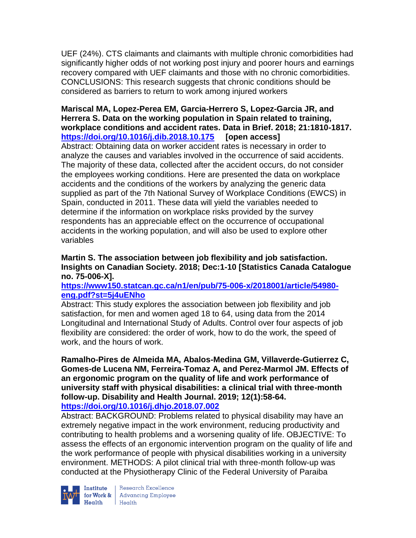UEF (24%). CTS claimants and claimants with multiple chronic comorbidities had significantly higher odds of not working post injury and poorer hours and earnings recovery compared with UEF claimants and those with no chronic comorbidities. CONCLUSIONS: This research suggests that chronic conditions should be considered as barriers to return to work among injured workers

## **Mariscal MA, Lopez-Perea EM, Garcia-Herrero S, Lopez-Garcia JR, and Herrera S. Data on the working population in Spain related to training, workplace conditions and accident rates. Data in Brief. 2018; 21:1810-1817. <https://doi.org/10.1016/j.dib.2018.10.175> [open access]**

Abstract: Obtaining data on worker accident rates is necessary in order to analyze the causes and variables involved in the occurrence of said accidents. The majority of these data, collected after the accident occurs, do not consider the employees working conditions. Here are presented the data on workplace accidents and the conditions of the workers by analyzing the generic data supplied as part of the 7th National Survey of Workplace Conditions (EWCS) in Spain, conducted in 2011. These data will yield the variables needed to determine if the information on workplace risks provided by the survey respondents has an appreciable effect on the occurrence of occupational accidents in the working population, and will also be used to explore other variables

### **Martin S. The association between job flexibility and job satisfaction. Insights on Canadian Society. 2018; Dec:1-10 [Statistics Canada Catalogue no. 75-006-X].**

### **[https://www150.statcan.gc.ca/n1/en/pub/75-006-x/2018001/article/54980](https://www150.statcan.gc.ca/n1/en/pub/75-006-x/2018001/article/54980-eng.pdf?st=5j4uENho) [eng.pdf?st=5j4uENho](https://www150.statcan.gc.ca/n1/en/pub/75-006-x/2018001/article/54980-eng.pdf?st=5j4uENho)**

Abstract: This study explores the association between job flexibility and job satisfaction, for men and women aged 18 to 64, using data from the 2014 Longitudinal and International Study of Adults. Control over four aspects of job flexibility are considered: the order of work, how to do the work, the speed of work, and the hours of work.

**Ramalho-Pires de Almeida MA, Abalos-Medina GM, Villaverde-Gutierrez C, Gomes-de Lucena NM, Ferreira-Tomaz A, and Perez-Marmol JM. Effects of an ergonomic program on the quality of life and work performance of university staff with physical disabilities: a clinical trial with three-month follow-up. Disability and Health Journal. 2019; 12(1):58-64. <https://doi.org/10.1016/j.dhjo.2018.07.002>** 

Abstract: BACKGROUND: Problems related to physical disability may have an extremely negative impact in the work environment, reducing productivity and contributing to health problems and a worsening quality of life. OBJECTIVE: To assess the effects of an ergonomic intervention program on the quality of life and the work performance of people with physical disabilities working in a university environment. METHODS: A pilot clinical trial with three-month follow-up was conducted at the Physiotherapy Clinic of the Federal University of Paraiba



**Institute** Research Excellence<br> **for Work &** Advancing Employee<br> **Health** Health  $Heath$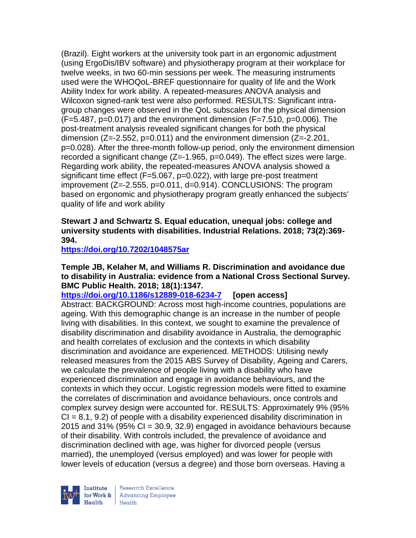(Brazil). Eight workers at the university took part in an ergonomic adjustment (using ErgoDis/IBV software) and physiotherapy program at their workplace for twelve weeks, in two 60-min sessions per week. The measuring instruments used were the WHOQoL-BREF questionnaire for quality of life and the Work Ability Index for work ability. A repeated-measures ANOVA analysis and Wilcoxon signed-rank test were also performed. RESULTS: Significant intragroup changes were observed in the QoL subscales for the physical dimension (F=5.487, p=0.017) and the environment dimension (F=7.510, p=0.006). The post-treatment analysis revealed significant changes for both the physical dimension ( $Z=-2.552$ ,  $p=0.011$ ) and the environment dimension ( $Z=-2.201$ , p=0.028). After the three-month follow-up period, only the environment dimension recorded a significant change (Z=-1.965, p=0.049). The effect sizes were large. Regarding work ability, the repeated-measures ANOVA analysis showed a significant time effect (F=5.067, p=0.022), with large pre-post treatment improvement (Z=-2.555, p=0.011, d=0.914). CONCLUSIONS: The program based on ergonomic and physiotherapy program greatly enhanced the subjects' quality of life and work ability

## **Stewart J and Schwartz S. Equal education, unequal jobs: college and university students with disabilities. Industrial Relations. 2018; 73(2):369- 394.**

**<https://doi.org/10.7202/1048575ar>** 

### **Temple JB, Kelaher M, and Williams R. Discrimination and avoidance due to disability in Australia: evidence from a National Cross Sectional Survey. BMC Public Health. 2018; 18(1):1347.**

**<https://doi.org/10.1186/s12889-018-6234-7> [open access]** Abstract: BACKGROUND: Across most high-income countries, populations are ageing. With this demographic change is an increase in the number of people living with disabilities. In this context, we sought to examine the prevalence of disability discrimination and disability avoidance in Australia, the demographic and health correlates of exclusion and the contexts in which disability discrimination and avoidance are experienced. METHODS: Utilising newly released measures from the 2015 ABS Survey of Disability, Ageing and Carers, we calculate the prevalence of people living with a disability who have experienced discrimination and engage in avoidance behaviours, and the contexts in which they occur. Logistic regression models were fitted to examine the correlates of discrimination and avoidance behaviours, once controls and complex survey design were accounted for. RESULTS: Approximately 9% (95%  $CI = 8.1, 9.2$  of people with a disability experienced disability discrimination in 2015 and 31% (95%  $CI = 30.9$ , 32.9) engaged in avoidance behaviours because of their disability. With controls included, the prevalence of avoidance and discrimination declined with age, was higher for divorced people (versus married), the unemployed (versus employed) and was lower for people with lower levels of education (versus a degree) and those born overseas. Having a

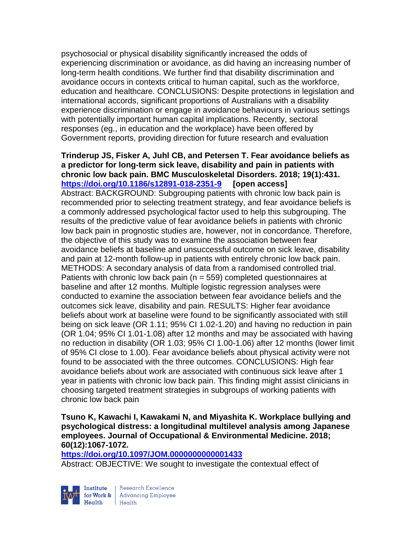psychosocial or physical disability significantly increased the odds of experiencing discrimination or avoidance, as did having an increasing number of long-term health conditions. We further find that disability discrimination and avoidance occurs in contexts critical to human capital, such as the workforce, education and healthcare. CONCLUSIONS: Despite protections in legislation and international accords, significant proportions of Australians with a disability experience discrimination or engage in avoidance behaviours in various settings with potentially important human capital implications. Recently, sectoral responses (eg., in education and the workplace) have been offered by Government reports, providing direction for future research and evaluation

### **Trinderup JS, Fisker A, Juhl CB, and Petersen T. Fear avoidance beliefs as a predictor for long-term sick leave, disability and pain in patients with chronic low back pain. BMC Musculoskeletal Disorders. 2018; 19(1):431. <https://doi.org/10.1186/s12891-018-2351-9> [open access]**

Abstract: BACKGROUND: Subgrouping patients with chronic low back pain is recommended prior to selecting treatment strategy, and fear avoidance beliefs is a commonly addressed psychological factor used to help this subgrouping. The results of the predictive value of fear avoidance beliefs in patients with chronic low back pain in prognostic studies are, however, not in concordance. Therefore, the objective of this study was to examine the association between fear avoidance beliefs at baseline and unsuccessful outcome on sick leave, disability and pain at 12-month follow-up in patients with entirely chronic low back pain. METHODS: A secondary analysis of data from a randomised controlled trial. Patients with chronic low back pain (n = 559) completed questionnaires at baseline and after 12 months. Multiple logistic regression analyses were conducted to examine the association between fear avoidance beliefs and the outcomes sick leave, disability and pain. RESULTS: Higher fear avoidance beliefs about work at baseline were found to be significantly associated with still being on sick leave (OR 1.11; 95% CI 1.02-1.20) and having no reduction in pain (OR 1.04; 95% CI 1.01-1.08) after 12 months and may be associated with having no reduction in disability (OR 1.03; 95% CI 1.00-1.06) after 12 months (lower limit of 95% CI close to 1.00). Fear avoidance beliefs about physical activity were not found to be associated with the three outcomes. CONCLUSIONS: High fear avoidance beliefs about work are associated with continuous sick leave after 1 year in patients with chronic low back pain. This finding might assist clinicians in choosing targeted treatment strategies in subgroups of working patients with chronic low back pain

## **Tsuno K, Kawachi I, Kawakami N, and Miyashita K. Workplace bullying and psychological distress: a longitudinal multilevel analysis among Japanese employees. Journal of Occupational & Environmental Medicine. 2018; 60(12):1067-1072.**

**<https://doi.org/10.1097/JOM.0000000000001433>** 

Abstract: OBJECTIVE: We sought to investigate the contextual effect of